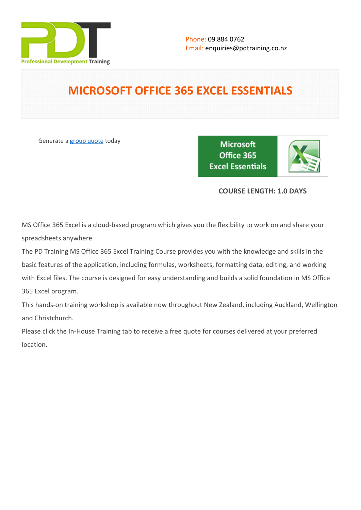

# **MICROSOFT OFFICE 365 EXCEL ESSENTIALS**

Generate a [group quote](https://pdtraining.co.nz/inhouse-training-quote?cse=AOFF365EE) today

**Microsoft** Office 365 **Excel Essentials** 



# **COURSE LENGTH: 1.0 DAYS**

MS Office 365 Excel is a cloud-based program which gives you the flexibility to work on and share your spreadsheets anywhere.

The PD Training MS Office 365 Excel Training Course provides you with the knowledge and skills in the basic features of the application, including formulas, worksheets, formatting data, editing, and working with Excel files. The course is designed for easy understanding and builds a solid foundation in MS Office 365 Excel program.

This hands-on training workshop is available now throughout New Zealand, including Auckland, Wellington and Christchurch.

Please click the In-House Training tab to receive a free quote for courses delivered at your preferred location.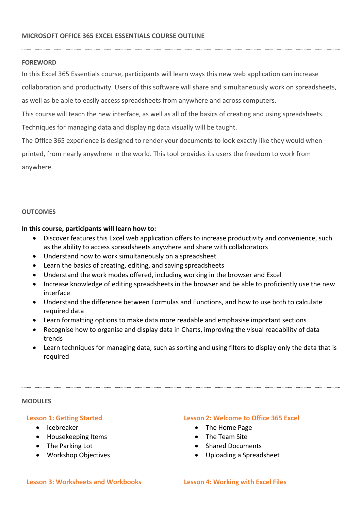#### **MICROSOFT OFFICE 365 EXCEL ESSENTIALS COURSE OUTLINE**

#### **FOREWORD**

In this Excel 365 Essentials course, participants will learn ways this new web application can increase

collaboration and productivity. Users of this software will share and simultaneously work on spreadsheets, as well as be able to easily access spreadsheets from anywhere and across computers.

This course will teach the new interface, as well as all of the basics of creating and using spreadsheets.

Techniques for managing data and displaying data visually will be taught.

The Office 365 experience is designed to render your documents to look exactly like they would when printed, from nearly anywhere in the world. This tool provides its users the freedom to work from anywhere.

#### **OUTCOMES**

**In this course, participants will learn how to:**

- Discover features this Excel web application offers to increase productivity and convenience, such as the ability to access spreadsheets anywhere and share with collaborators
- Understand how to work simultaneously on a spreadsheet
- Learn the basics of creating, editing, and saving spreadsheets
- Understand the work modes offered, including working in the browser and Excel
- Increase knowledge of editing spreadsheets in the browser and be able to proficiently use the new interface
- Understand the difference between Formulas and Functions, and how to use both to calculate required data
- Learn formatting options to make data more readable and emphasise important sections
- Recognise how to organise and display data in Charts, improving the visual readability of data trends
- Learn techniques for managing data, such as sorting and using filters to display only the data that is required

#### **MODULES**

#### **Lesson 1: Getting Started**

- Icebreaker
- Housekeeping Items
- The Parking Lot
- Workshop Objectives

#### **Lesson 2: Welcome to Office 365 Excel**

- The Home Page
- The Team Site
- Shared Documents
- Uploading a Spreadsheet

#### **Lesson 3: Worksheets and Workbooks Lesson 4: Working with Excel Files**